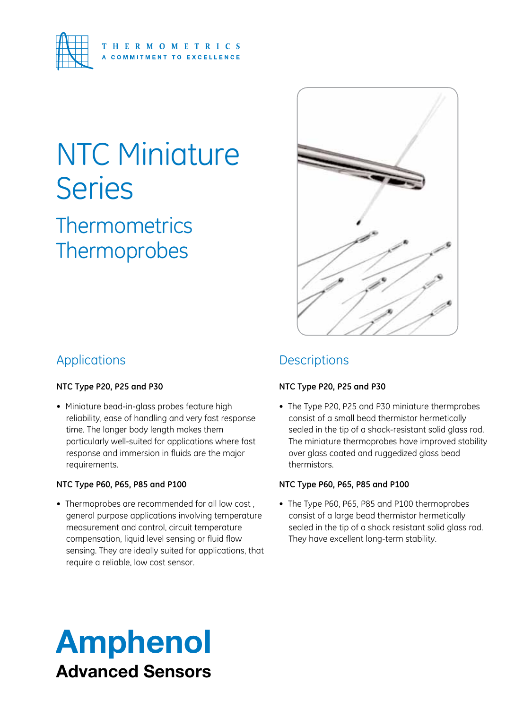

### NTC Miniature **Series**

**Thermometrics Thermoprobes** 



### Applications

#### **NTC Type P20, P25 and P30**

• Miniature bead-in-glass probes feature high reliability, ease of handling and very fast response time. The longer body length makes them particularly well-suited for applications where fast response and immersion in fluids are the major requirements.

#### **NTC Type P60, P65, P85 and P100**

• Thermoprobes are recommended for all low cost, general purpose applications involving temperature measurement and control, circuit temperature compensation, liquid level sensing or fluid flow sensing. They are ideally suited for applications, that require a reliable, low cost sensor.

### **Descriptions**

### **NTC Type P20, P25 and P30**

• The Type P20, P25 and P30 miniature thermprobes consist of a small bead thermistor hermetically sealed in the tip of a shock-resistant solid glass rod. The miniature thermoprobes have improved stability over glass coated and ruggedized glass bead thermistors.

#### **NTC Type P60, P65, P85 and P100**

• The Type P60, P65, P85 and P100 thermoprobes consist of a large bead thermistor hermetically sealed in the tip of a shock resistant solid glass rod. They have excellent long-term stability.

### Amphenol Advanced Sensors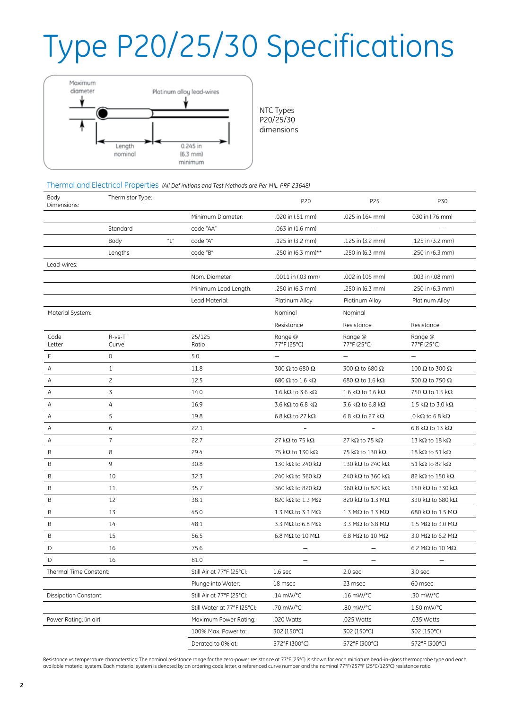## Type P20/25/30 Specifications



NTC Types P20/25/30

dimensions

Thermal and Electrical Properties *(All Def initions and Test Methods are Per MIL-PRF-23648)*

| Body<br>Dimensions:    | Thermistor Type: |                           |                             | P20                              | P25                              | P30                              |  |
|------------------------|------------------|---------------------------|-----------------------------|----------------------------------|----------------------------------|----------------------------------|--|
|                        |                  |                           | Minimum Diameter:           | .020 in (.51 mm)                 | .025 in (.64 mm)                 | 030 in (.76 mm)                  |  |
|                        | Standard         |                           | code "AA"                   | .063 in (1.6 mm)                 |                                  |                                  |  |
|                        | Body             | "L"                       | code "A"                    | .125 in (3.2 mm)                 | .125 in (3.2 mm)                 | .125 in (3.2 mm)                 |  |
|                        | Lengths          |                           | code "B"                    | .250 in (6.3 mm)**               | .250 in (6.3 mm)                 | .250 in (6.3 mm)                 |  |
| Lead-wires:            |                  |                           |                             |                                  |                                  |                                  |  |
|                        |                  |                           | Nom. Diameter:              | .0011 in (.03 mm)                | .002 in (.05 mm)                 | .003 in (.08 mm)                 |  |
|                        |                  |                           | Minimum Lead Length:        | .250 in (6.3 mm)                 | .250 in (6.3 mm)                 | .250 in (6.3 mm)                 |  |
|                        |                  |                           | Lead Material:              | Platinum Alloy                   | Platinum Alloy                   | Platinum Alloy                   |  |
| Material System:       |                  |                           |                             | Nominal                          | Nominal                          |                                  |  |
|                        |                  |                           |                             | Resistance                       | Resistance                       | Resistance                       |  |
| Code<br>Letter         | R-vs-T<br>Curve  |                           | 25/125<br>Ratio             | Range @<br>77°F (25°C)           | Range @<br>77°F (25°C)           | Range @<br>77°F (25°C)           |  |
| Ε                      | $\mathbf 0$      |                           | 5.0                         |                                  |                                  |                                  |  |
| A                      | $\mathbf{1}$     |                           | 11.8                        | 300 $\Omega$ to 680 $\Omega$     | 300 $\Omega$ to 680 $\Omega$     | 100 $\Omega$ to 300 $\Omega$     |  |
| Α                      | $\overline{c}$   |                           | 12.5                        | 680 $\Omega$ to 1.6 k $\Omega$   | 680 $\Omega$ to 1.6 k $\Omega$   | 300 $\Omega$ to 750 $\Omega$     |  |
| Α                      | $\overline{3}$   |                           | 14.0                        | 1.6 k $\Omega$ to 3.6 k $\Omega$ | 1.6 kΩ to 3.6 kΩ                 | 750 $\Omega$ to 1.5 k $\Omega$   |  |
| Α                      | 4                |                           | 16.9                        | 3.6 k $\Omega$ to 6.8 k $\Omega$ | 3.6 k $\Omega$ to 6.8 k $\Omega$ | 1.5 k $\Omega$ to 3.0 k $\Omega$ |  |
| Α                      | 5                |                           | 19.8                        | 6.8 k $\Omega$ to 27 k $\Omega$  | 6.8 k $\Omega$ to 27 k $\Omega$  | .0 k $\Omega$ to 6.8 k $\Omega$  |  |
| A                      | 6                |                           | 22.1                        |                                  |                                  | 6.8 k $\Omega$ to 13 k $\Omega$  |  |
| A                      | $\overline{7}$   |                           | 22.7                        | 27 k $\Omega$ to 75 k $\Omega$   | 27 k $\Omega$ to 75 k $\Omega$   | 13 k $\Omega$ to 18 k $\Omega$   |  |
| B                      | 8                |                           | 29.4                        | 75 k $\Omega$ to 130 k $\Omega$  | 75 k $\Omega$ to 130 k $\Omega$  | 18 k $\Omega$ to 51 k $\Omega$   |  |
| B                      | 9                |                           | 30.8                        | 130 k $\Omega$ to 240 k $\Omega$ | 130 kΩ to 240 kΩ                 | 51 k $\Omega$ to 82 k $\Omega$   |  |
| В                      | 10               |                           | 32.3                        | 240 k $\Omega$ to 360 k $\Omega$ | 240 kΩ to 360 kΩ                 | 82 k $\Omega$ to 150 k $\Omega$  |  |
| B                      | 11               |                           | 35.7                        | 360 k $\Omega$ to 820 k $\Omega$ | 360 k $\Omega$ to 820 k $\Omega$ | 150 k $\Omega$ to 330 k $\Omega$ |  |
| Β                      | 12               |                           | 38.1                        | 820 k $\Omega$ to 1.3 M $\Omega$ | 820 k $\Omega$ to 1.3 M $\Omega$ | 330 k $\Omega$ to 680 k $\Omega$ |  |
| B                      | 13               |                           | 45.0                        | 1.3 M $\Omega$ to 3.3 M $\Omega$ | 1.3 M $\Omega$ to 3.3 M $\Omega$ | 680 k $\Omega$ to 1.5 M $\Omega$ |  |
| B                      | 14               |                           | 48.1                        | 3.3 M $\Omega$ to 6.8 M $\Omega$ | 3.3 M $\Omega$ to 6.8 M $\Omega$ | 1.5 M $\Omega$ to 3.0 M $\Omega$ |  |
| B                      | 15               |                           | 56.5                        | 6.8 M $\Omega$ to 10 M $\Omega$  | 6.8 M $\Omega$ to 10 M $\Omega$  | 3.0 M $\Omega$ to 6.2 M $\Omega$ |  |
| D                      | 16               |                           | 75.6                        |                                  |                                  | 6.2 M $\Omega$ to 10 M $\Omega$  |  |
| D                      | 16               |                           | 81.0                        | $\overline{\phantom{0}}$         | $\overline{\phantom{0}}$         |                                  |  |
| Thermal Time Constant: |                  | Still Air at 77°F (25°C): | 1.6 <sub>sec</sub>          | 2.0 sec                          | 3.0 <sub>sec</sub>               |                                  |  |
|                        |                  |                           | Plunge into Water:          | 18 msec                          | 23 msec                          | 60 msec                          |  |
| Dissipation Constant:  |                  |                           | Still Air at 77°F (25°C):   | $.14$ mW/ $°C$                   | .16 mW/°C                        | .30 mW/°C                        |  |
|                        |                  |                           | Still Water at 77°F (25°C): | .70 mW/°C                        | .80 mW/°C                        | 1.50 mW/°C                       |  |
| Power Rating: (in air) |                  | Maximum Power Rating:     | .020 Watts                  | .025 Watts                       | .035 Watts                       |                                  |  |
|                        |                  |                           | 100% Max. Power to:         | 302 (150°C)                      | 302 (150°C)                      | 302 (150°C)                      |  |
|                        |                  |                           | Derated to 0% at:           | 572°F (300°C)                    | 572°F (300°C)                    | 572°F (300°C)                    |  |

Resistance vs temperature characterstics: The nominal resistance range for the zero-power resistance at 77°F (25°C) is shown for each miniature bead-in-glass thermoprobe type and each available material system. Each material system is denoted by an ordering code letter, a referenced curve number and the nominal 77°F/257°F (25°C/125°C) resistance ratio.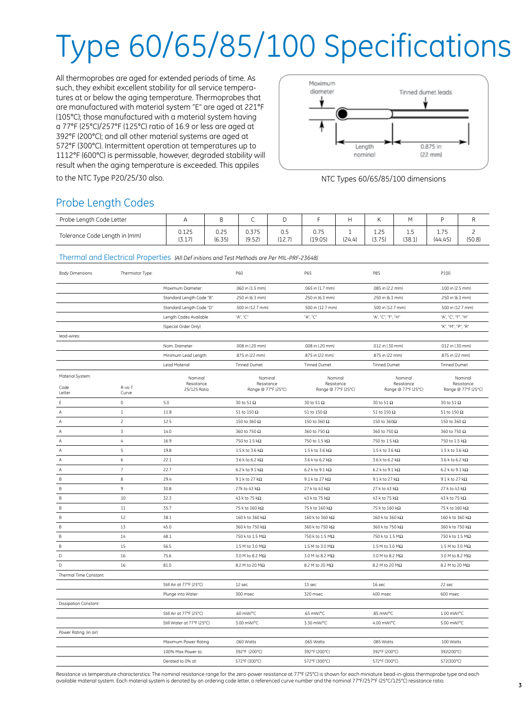# Type 60/65/85/100 Specifications

All thermoprobes are aged for extended periods of time. As such, they exhibit excellent stability for all service temperatures at or below the aging temperature. Thermoprobes that are manufactured with material system "E" are aged at 221°F (105°C); those manufactured with a material system having a 77°F (25°C)/257°F (125°C) ratio of 16.9 or less are aged at 392°F (200°C); and all other material systems are aged at 572°F (300°C). Intermittent operation at temperatures up to 1112°F (600°C) is permissable, however, degraded stability will result when the aging temperature is exceeded. This appiles



to the NTC Type P20/25/30 also. And the NTC Types 60/65/85/100 dimensions

### Probe Length Codes

| Probe Length Code Letter      |                        | В              |                 |               |                 |        |                |               |                                  |        |
|-------------------------------|------------------------|----------------|-----------------|---------------|-----------------|--------|----------------|---------------|----------------------------------|--------|
| Tolerance Code Length in (mm) | 0.125<br>771<br>ا ۲۰۰۲ | 0.25<br>(6.35) | 0.375<br>(9.52) | 0.5<br>(12.7) | 0.75<br>(19.05) | (24.4) | 1.25<br>(3.75) | ن.⊾<br>(38.1) | 7 <sub>5</sub><br>ن ،<br>(44.45) | (50.8) |

Thermal and Electrical Properties *(All Def initions and Test Methods are Per MIL-PRF-23648)*

| <b>Body Dimensions</b>             | Thermistor Type:        |                                       | P60                                          | P65                                          | P85                                          | P100                                         |
|------------------------------------|-------------------------|---------------------------------------|----------------------------------------------|----------------------------------------------|----------------------------------------------|----------------------------------------------|
|                                    |                         | Maximum Diameter:                     | .060 in (1.5 mm)                             | .065 in (1.7 mm)                             | .085 in (2.2 mm)                             | .100 in (2.5 mm)                             |
|                                    |                         | Standard Length Code "B"              | .250 in (6.3 mm)                             | .250 in (6.3 mm)                             | .250 in (6.3 mm)                             | .250 in (6.3 mm)                             |
|                                    |                         | Standard Length Code "D"              | .500 in (12.7 mm)                            | .500 in (12.7 mm)                            | .500 in (12.7 mm)                            | .500 in (12.7 mm)                            |
|                                    |                         | Length Codes Available                | "A", "C"                                     | "A", "C"                                     | "A", "C", "F", "H"                           | "A", "C", "F", "H"                           |
|                                    |                         | (Special Order Only)                  |                                              |                                              |                                              | "K", "M", "P", "R"                           |
| lead-wires:                        |                         |                                       |                                              |                                              |                                              |                                              |
|                                    |                         | Nom. Diameter:                        | .008 in (.20 mm)                             | .008 in (.20 mm)                             | .012 in (.30 mm)                             | .012 in (.30 mm)                             |
|                                    |                         | Minimum Lead Length:                  | .875 in (22 mm)                              | .875 in (22 mm)                              | .875 in (22 mm)                              | .875 in (22 mm)                              |
|                                    |                         | Lead Material:                        | Tinned Dumet                                 | <b>Tinned Dumet</b>                          | Tinned Dumet                                 | Tinned Dumet                                 |
| Material System:<br>Code<br>Letter | R-vs-T<br>Curve         | Nominal<br>Resistance<br>25/125 Ratio | Nominal<br>Resistance<br>Range @ 77°F (25°C) | Nominal<br>Resistance<br>Range @ 77°F (25°C) | Nominal<br>Resistance<br>Range @ 77°F (25°C) | Nominal<br>Resistance<br>Range @ 77°F (25°C) |
| Ε                                  | $\mathsf{O}\xspace$     | 5.0                                   | 30 to 51 $\Omega$                            | 30 to 51 $\Omega$                            | 30 to 51 $\Omega$                            | 30 to 51 $\Omega$                            |
| Α                                  | $\mathbf{1}$            | 11.8                                  | 51 to 150 $\Omega$                           | 51 to 150 $\Omega$                           | 51 to 150 $\Omega$                           | 51 to 150 $\Omega$                           |
| Α                                  | $\overline{c}$          | 12.5                                  | 150 to 360 $\Omega$                          | 150 to 360 $\Omega$                          | 150 to 360 $\Omega$                          | 150 to 360 $\Omega$                          |
| Α                                  | $\overline{\mathbf{3}}$ | 14.0                                  | 360 to 750 Ω                                 | 360 to 750 $\Omega$                          | 360 to 750 Ω                                 | 360 to 750 $\Omega$                          |
| Α                                  | $\sqrt{4}$              | 16.9                                  | 750 to 1.5 $k\Omega$                         | 750 to 1.5 k $\Omega$                        | 750 to 1.5 k $\Omega$                        | 750 to 1.5 k $\Omega$                        |
| $\overline{A}$                     | 5                       | 19.8                                  | 1.5 k to 3.6 k $\Omega$                      | 1.5 k to 3.6 k $\Omega$                      | $1.5$ k to 3.6 k $\Omega$                    | 1.5 k to 3.6 k $\Omega$                      |
| Α                                  | 6                       | 22.1                                  | 3.6 k to 6.2 k $\Omega$                      | 3.6 k to 6.2 k $\Omega$                      | 3.6 k to 6.2 k $\Omega$                      | 3.6 k to 6.2 k $\Omega$                      |
| Α                                  | $\overline{7}$          | 22.7                                  | 6.2 k to 9.1 k $\Omega$                      | 6.2 k to 9.1 k $\Omega$                      | 6.2 k to 9.1 k $\Omega$                      | 6.2 k to 9.1 k $\Omega$                      |
| B                                  | 8                       | 29.4                                  | 9.1 k to 27 k $\Omega$                       | 9.1 k to 27 k $\Omega$                       | 9.1 k to 27 k $\Omega$                       | 9.1 k to 27 k $\Omega$                       |
| В                                  | 9                       | 30.8                                  | 27k to 43 k $\Omega$                         | 27 k to 43 k $\Omega$                        | 27 k to 43 k $\Omega$                        | 27 k to 43 k $\Omega$                        |
| B                                  | 10                      | 32.3                                  | 43 k to 75 k $\Omega$                        | 43 k to 75 k $\Omega$                        | 43 k to 75 k $\Omega$                        | 43 k to 75 k $\Omega$                        |
| B                                  | 11                      | 35.7                                  | 75 k to 160 k $\Omega$                       | 75 k to 160 k $\Omega$                       | 75 k to 160 k $\Omega$                       | 75 k to 160 k $\Omega$                       |
| B                                  | 12                      | 38.1                                  | $160$ k to 360 k $\Omega$                    | 160 k to 360 k $\Omega$                      | 160 k to 360 k $\Omega$                      | 160 k to 360 k $\Omega$                      |
| B                                  | 13                      | 45.0                                  | 360 k to 750 kΩ                              | 360 k to 750 kΩ                              | 360 k to 750 kΩ                              | 360 k to 750 kΩ                              |
| $\sf B$                            | 14                      | 48.1                                  | 750 k to 1.5 MΩ                              | 750 k to 1.5 MΩ                              | 750 k to 1.5 MΩ                              | 750 k to 1.5 MΩ                              |
| $\sf B$                            | 15                      | 56.5                                  | 1.5 M to 3.0 M $\Omega$                      | 1.5 M to 3.0 M $\Omega$                      | 1.5 M to 3.0 M $\Omega$                      | 1.5 M to 3.0 M $\Omega$                      |
| $\mathsf D$                        | 16                      | 75.6                                  | 3.0 M to 8.2 M $\Omega$                      | 3.0 M to 8.2 MΩ                              | 3.0 M to 8.2 M $\Omega$                      | 3.0 M to 8.2 M $\Omega$                      |
| $\mathbb D$                        | 16                      | 81.0                                  | 8.2 M to 20 M $\Omega$                       | 8.2 M to 20 M $\Omega$                       | 8.2 M to 20 M $\Omega$                       | 8.2 M to 20 M $\Omega$                       |
| Thermal Time Constant:             |                         |                                       |                                              |                                              |                                              |                                              |
|                                    |                         | Still Air at 77°F (25°C):             | 12 sec                                       | 13 sec                                       | 16 sec                                       | 22 sec                                       |
|                                    |                         | Plunge into Water:                    | 300 msec                                     | 320 msec                                     | 400 msec                                     | 600 msec                                     |
| <b>Dissipation Constant:</b>       |                         |                                       |                                              |                                              |                                              |                                              |
|                                    |                         | Still Air at 77°F (25°C):             | .60 mW/°C                                    | .65 mW/°C                                    | .85 mW/°C                                    | 1.00 mW/°C                                   |
|                                    |                         | Still Water at 77°F (25°C):           | 3.00 mW/°C                                   | 3.30 mW/°C                                   | 4.00 mW/°C                                   | 5.00 mW/°C                                   |
| Power Rating: (in air)             |                         |                                       |                                              |                                              |                                              |                                              |
|                                    |                         | Maximum Power Rating:                 | .060 Watts                                   | .065 Watts                                   | .085 Watts                                   | .100 Watts                                   |
|                                    |                         | 100% Max Power to:                    | 392°F (200°C)                                | 392°F (200°C)                                | 392°F (200°C)                                | 392(200°C)                                   |
|                                    |                         | Derated to 0% at:                     | 572°F (300°C)                                | 572°F (300°C)                                | 572°F (300°C)                                | 572(300°C)                                   |
|                                    |                         |                                       |                                              |                                              |                                              |                                              |

Resistance vs temperature characterstics: The nominal resistance range for the zero-power resistance at 77°F (25°C) is shown for each miniature bead-in-glass thermoprobe type and each available material system. Each material system is denoted by an ordering code letter, a referenced curve number and the nominal 77°F/257°F (25°C/125°C) resistance ratio.